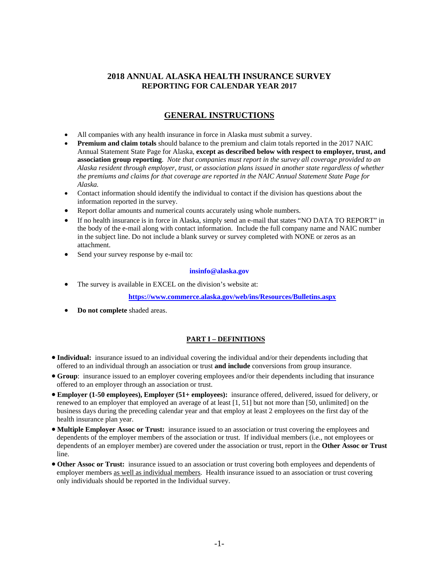# **2018 ANNUAL ALASKA HEALTH INSURANCE SURVEY REPORTING FOR CALENDAR YEAR 2017**

# **GENERAL INSTRUCTIONS**

- All companies with any health insurance in force in Alaska must submit a survey.
- **Premium and claim totals** should balance to the premium and claim totals reported in the 2017 NAIC Annual Statement State Page for Alaska, **except as described below with respect to employer, trust, and association group reporting**. *Note that companies must report in the survey all coverage provided to an Alaska resident through employer, trust, or association plans issued in another state regardless of whether the premiums and claims for that coverage are reported in the NAIC Annual Statement State Page for Alaska.*
- Contact information should identify the individual to contact if the division has questions about the information reported in the survey.
- Report dollar amounts and numerical counts accurately using whole numbers.
- If no health insurance is in force in Alaska, simply send an e-mail that states "NO DATA TO REPORT" in the body of the e-mail along with contact information. Include the full company name and NAIC number in the subject line. Do not include a blank survey or survey completed with NONE or zeros as an attachment.
- Send your survey response by e-mail to:

### **[insinfo@alaska.gov](mailto:insinfo@alaska.gov)**

The survey is available in EXCEL on the division's website at:

**<https://www.commerce.alaska.gov/web/ins/Resources/Bulletins.aspx>**

• **Do not complete** shaded areas.

# **PART I – DEFINITIONS**

- **Individual:** insurance issued to an individual covering the individual and/or their dependents including that offered to an individual through an association or trust **and include** conversions from group insurance.
- **Group**: insurance issued to an employer covering employees and/or their dependents including that insurance offered to an employer through an association or trust.
- **Employer (1-50 employees), Employer (51+ employees):** insurance offered, delivered, issued for delivery, or renewed to an employer that employed an average of at least [1, 51] but not more than [50, unlimited] on the business days during the preceding calendar year and that employ at least 2 employees on the first day of the health insurance plan year.
- **Multiple Employer Assoc or Trust:** insurance issued to an association or trust covering the employees and dependents of the employer members of the association or trust. If individual members (i.e., not employees or dependents of an employer member) are covered under the association or trust, report in the **Other Assoc or Trust** line.
- **Other Assoc or Trust:** insurance issued to an association or trust covering both employees and dependents of employer members as well as individual members. Health insurance issued to an association or trust covering only individuals should be reported in the Individual survey.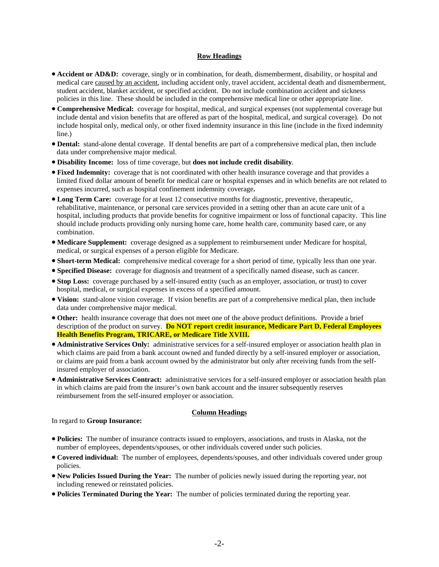### **Row Headings**

- **Accident or AD&D:** coverage, singly or in combination, for death, dismemberment, disability, or hospital and medical care caused by an accident, including accident only, travel accident, accidental death and dismemberment, student accident, blanket accident, or specified accident. Do not include combination accident and sickness policies in this line. These should be included in the comprehensive medical line or other appropriate line.
- **Comprehensive Medical:** coverage for hospital, medical, and surgical expenses (not supplemental coverage but include dental and vision benefits that are offered as part of the hospital, medical, and surgical coverage). Do not include hospital only, medical only, or other fixed indemnity insurance in this line (include in the fixed indemnity line.)
- **Dental:** stand-alone dental coverage. If dental benefits are part of a comprehensive medical plan, then include data under comprehensive major medical.
- **Disability Income:** loss of time coverage, but **does not include credit disability**.
- **Fixed Indemnity:** coverage that is not coordinated with other health insurance coverage and that provides a limited fixed dollar amount of benefit for medical care or hospital expenses and in which benefits are not related to expenses incurred, such as hospital confinement indemnity coverage**.**
- **Long Term Care:** coverage for at least 12 consecutive months for diagnostic, preventive, therapeutic, rehabilitative, maintenance, or personal care services provided in a setting other than an acute care unit of a hospital, including products that provide benefits for cognitive impairment or loss of functional capacity. This line should include products providing only nursing home care, home health care, community based care, or any combination.
- **Medicare Supplement:** coverage designed as a supplement to reimbursement under Medicare for hospital, medical, or surgical expenses of a person eligible for Medicare.
- **Short-term Medical:** comprehensive medical coverage for a short period of time, typically less than one year.
- **Specified Disease:** coverage for diagnosis and treatment of a specifically named disease, such as cancer.
- **Stop Loss:** coverage purchased by a self-insured entity (such as an employer, association, or trust) to cover hospital, medical, or surgical expenses in excess of a specified amount.
- **Vision:** stand-alone vision coverage. If vision benefits are part of a comprehensive medical plan, then include data under comprehensive major medical.
- **Other:** health insurance coverage that does not meet one of the above product definitions. Provide a brief description of the product on survey. **Do NOT report credit insurance, Medicare Part D, Federal Employees Health Benefits Program, TRICARE, or Medicare Title XVIII.**
- **Administrative Services Only:** administrative services for a self-insured employer or association health plan in which claims are paid from a bank account owned and funded directly by a self-insured employer or association, or claims are paid from a bank account owned by the administrator but only after receiving funds from the selfinsured employer of association.
- **Administrative Services Contract:** administrative services for a self-insured employer or association health plan in which claims are paid from the insurer's own bank account and the insurer subsequently reserves reimbursement from the self-insured employer or association.

### **Column Headings**

## In regard to **Group Insurance:**

- **Policies:** The number of insurance contracts issued to employers, associations, and trusts in Alaska, not the number of employees, dependents/spouses, or other individuals covered under such policies.
- **Covered individual:** The number of employees, dependents/spouses, and other individuals covered under group policies.
- **New Policies Issued During the Year:** The number of policies newly issued during the reporting year, not including renewed or reinstated policies.
- **Policies Terminated During the Year:** The number of policies terminated during the reporting year.